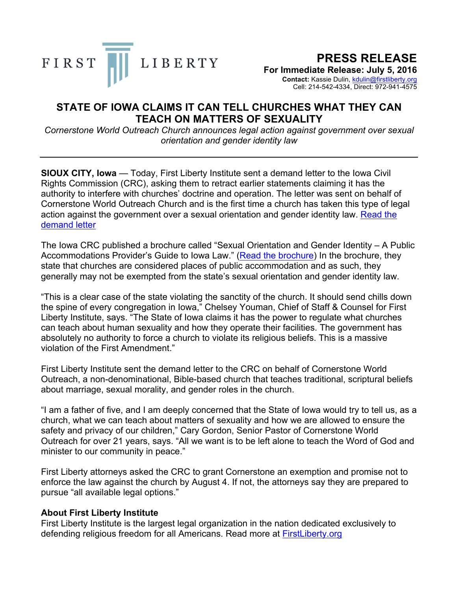

## **PRESS RELEASE**

**For Immediate Release: July 5, 2016**

**Contact:** Kassie Dulin, kdulin@firstliberty.org Cell: 214-542-4334, Direct: 972-941-4575

## **STATE OF IOWA CLAIMS IT CAN TELL CHURCHES WHAT THEY CAN TEACH ON MATTERS OF SEXUALITY**

*Cornerstone World Outreach Church announces legal action against government over sexual orientation and gender identity law* 

**SIOUX CITY, Iowa** — Today, First Liberty Institute sent a demand letter to the Iowa Civil Rights Commission (CRC), asking them to retract earlier statements claiming it has the authority to interfere with churches' doctrine and operation. The letter was sent on behalf of Cornerstone World Outreach Church and is the first time a church has taken this type of legal action against the government over a sexual orientation and gender identity law. Read the demand letter

The Iowa CRC published a brochure called "Sexual Orientation and Gender Identity – A Public Accommodations Provider's Guide to Iowa Law." (Read the brochure) In the brochure, they state that churches are considered places of public accommodation and as such, they generally may not be exempted from the state's sexual orientation and gender identity law.

"This is a clear case of the state violating the sanctity of the church. It should send chills down the spine of every congregation in Iowa," Chelsey Youman, Chief of Staff & Counsel for First Liberty Institute, says. "The State of Iowa claims it has the power to regulate what churches can teach about human sexuality and how they operate their facilities. The government has absolutely no authority to force a church to violate its religious beliefs. This is a massive violation of the First Amendment."

First Liberty Institute sent the demand letter to the CRC on behalf of Cornerstone World Outreach, a non-denominational, Bible-based church that teaches traditional, scriptural beliefs about marriage, sexual morality, and gender roles in the church.

"I am a father of five, and I am deeply concerned that the State of Iowa would try to tell us, as a church, what we can teach about matters of sexuality and how we are allowed to ensure the safety and privacy of our children," Cary Gordon, Senior Pastor of Cornerstone World Outreach for over 21 years, says. "All we want is to be left alone to teach the Word of God and minister to our community in peace."

First Liberty attorneys asked the CRC to grant Cornerstone an exemption and promise not to enforce the law against the church by August 4. If not, the attorneys say they are prepared to pursue "all available legal options."

## **About First Liberty Institute**

First Liberty Institute is the largest legal organization in the nation dedicated exclusively to defending religious freedom for all Americans. Read more at FirstLiberty.org